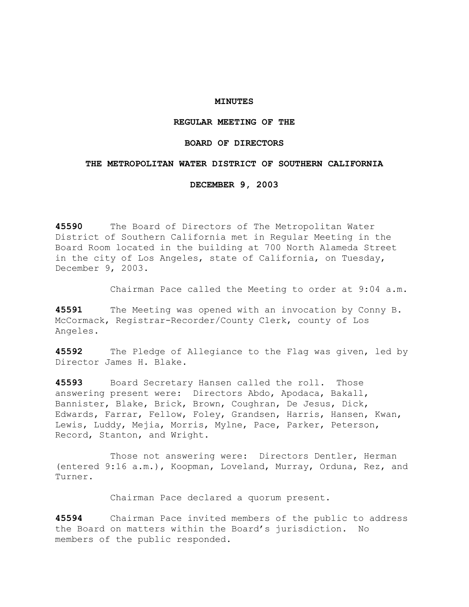## **MINUTES**

## **REGULAR MEETING OF THE**

# **BOARD OF DIRECTORS**

### **THE METROPOLITAN WATER DISTRICT OF SOUTHERN CALIFORNIA**

**DECEMBER 9, 2003** 

**45590** The Board of Directors of The Metropolitan Water District of Southern California met in Regular Meeting in the Board Room located in the building at 700 North Alameda Street in the city of Los Angeles, state of California, on Tuesday, December 9, 2003.

Chairman Pace called the Meeting to order at 9:04 a.m.

**45591** The Meeting was opened with an invocation by Conny B. McCormack, Registrar-Recorder/County Clerk, county of Los Angeles.

**45592** The Pledge of Allegiance to the Flag was given, led by Director James H. Blake.

**45593** Board Secretary Hansen called the roll. Those answering present were: Directors Abdo, Apodaca, Bakall, Bannister, Blake, Brick, Brown, Coughran, De Jesus, Dick, Edwards, Farrar, Fellow, Foley, Grandsen, Harris, Hansen, Kwan, Lewis, Luddy, Mejia, Morris, Mylne, Pace, Parker, Peterson, Record, Stanton, and Wright.

 Those not answering were: Directors Dentler, Herman (entered 9:16 a.m.), Koopman, Loveland, Murray, Orduna, Rez, and Turner.

Chairman Pace declared a quorum present.

**45594** Chairman Pace invited members of the public to address the Board on matters within the Board's jurisdiction. No members of the public responded.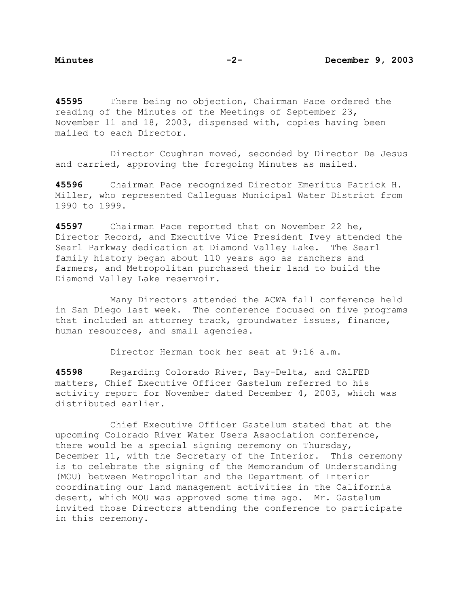**45595** There being no objection, Chairman Pace ordered the reading of the Minutes of the Meetings of September 23, November 11 and 18, 2003, dispensed with, copies having been mailed to each Director.

 Director Coughran moved, seconded by Director De Jesus and carried, approving the foregoing Minutes as mailed.

**45596** Chairman Pace recognized Director Emeritus Patrick H. Miller, who represented Calleguas Municipal Water District from 1990 to 1999.

**45597** Chairman Pace reported that on November 22 he, Director Record, and Executive Vice President Ivey attended the Searl Parkway dedication at Diamond Valley Lake. The Searl family history began about 110 years ago as ranchers and farmers, and Metropolitan purchased their land to build the Diamond Valley Lake reservoir.

 Many Directors attended the ACWA fall conference held in San Diego last week. The conference focused on five programs that included an attorney track, groundwater issues, finance, human resources, and small agencies.

Director Herman took her seat at 9:16 a.m.

**45598** Regarding Colorado River, Bay-Delta, and CALFED matters, Chief Executive Officer Gastelum referred to his activity report for November dated December 4, 2003, which was distributed earlier.

 Chief Executive Officer Gastelum stated that at the upcoming Colorado River Water Users Association conference, there would be a special signing ceremony on Thursday, December 11, with the Secretary of the Interior. This ceremony is to celebrate the signing of the Memorandum of Understanding (MOU) between Metropolitan and the Department of Interior coordinating our land management activities in the California desert, which MOU was approved some time ago. Mr. Gastelum invited those Directors attending the conference to participate in this ceremony.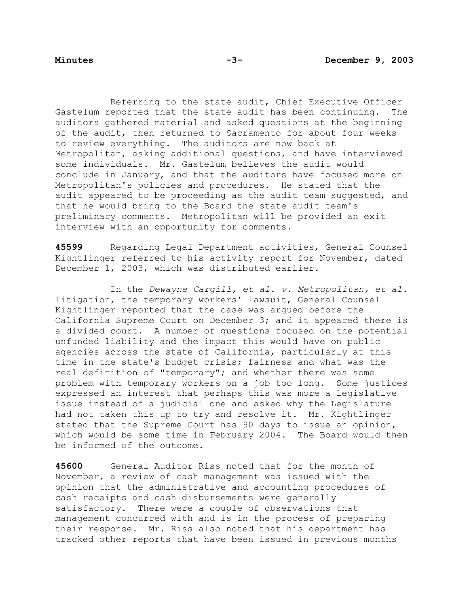Referring to the state audit, Chief Executive Officer Gastelum reported that the state audit has been continuing. The auditors gathered material and asked questions at the beginning of the audit, then returned to Sacramento for about four weeks to review everything. The auditors are now back at Metropolitan, asking additional questions, and have interviewed some individuals. Mr. Gastelum believes the audit would conclude in January, and that the auditors have focused more on Metropolitan's policies and procedures. He stated that the audit appeared to be proceeding as the audit team suggested, and that he would bring to the Board the state audit team's preliminary comments. Metropolitan will be provided an exit interview with an opportunity for comments.

**45599** Regarding Legal Department activities, General Counsel Kightlinger referred to his activity report for November, dated December 1, 2003, which was distributed earlier.

 In the *Dewayne Cargill, et al. v. Metropolitan, et al.*  litigation, the temporary workers' lawsuit, General Counsel Kightlinger reported that the case was argued before the California Supreme Court on December 3; and it appeared there is a divided court. A number of questions focused on the potential unfunded liability and the impact this would have on public agencies across the state of California, particularly at this time in the state's budget crisis; fairness and what was the real definition of "temporary"; and whether there was some problem with temporary workers on a job too long. Some justices expressed an interest that perhaps this was more a legislative issue instead of a judicial one and asked why the Legislature had not taken this up to try and resolve it. Mr. Kightlinger stated that the Supreme Court has 90 days to issue an opinion, which would be some time in February 2004. The Board would then be informed of the outcome.

**45600** General Auditor Riss noted that for the month of November, a review of cash management was issued with the opinion that the administrative and accounting procedures of cash receipts and cash disbursements were generally satisfactory. There were a couple of observations that management concurred with and is in the process of preparing their response. Mr. Riss also noted that his department has tracked other reports that have been issued in previous months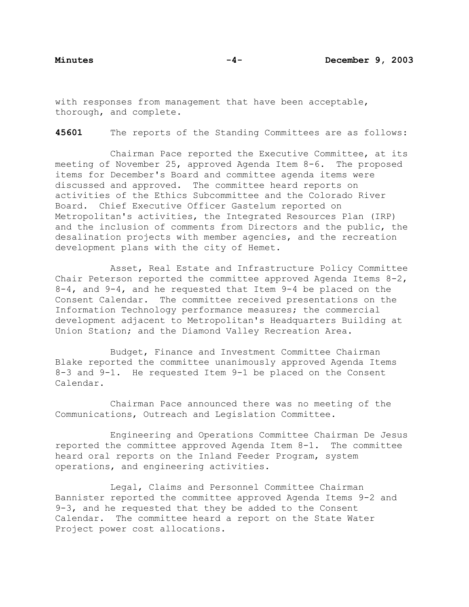with responses from management that have been acceptable, thorough, and complete.

**45601** The reports of the Standing Committees are as follows:

Chairman Pace reported the Executive Committee, at its meeting of November 25, approved Agenda Item 8-6. The proposed items for December's Board and committee agenda items were discussed and approved. The committee heard reports on activities of the Ethics Subcommittee and the Colorado River Board. Chief Executive Officer Gastelum reported on Metropolitan's activities, the Integrated Resources Plan (IRP) and the inclusion of comments from Directors and the public, the desalination projects with member agencies, and the recreation development plans with the city of Hemet.

 Asset, Real Estate and Infrastructure Policy Committee Chair Peterson reported the committee approved Agenda Items 8-2, 8-4, and 9-4, and he requested that Item 9-4 be placed on the Consent Calendar. The committee received presentations on the Information Technology performance measures; the commercial development adjacent to Metropolitan's Headquarters Building at Union Station; and the Diamond Valley Recreation Area.

 Budget, Finance and Investment Committee Chairman Blake reported the committee unanimously approved Agenda Items 8-3 and 9-1. He requested Item 9-1 be placed on the Consent Calendar.

 Chairman Pace announced there was no meeting of the Communications, Outreach and Legislation Committee.

 Engineering and Operations Committee Chairman De Jesus reported the committee approved Agenda Item 8-1. The committee heard oral reports on the Inland Feeder Program, system operations, and engineering activities.

 Legal, Claims and Personnel Committee Chairman Bannister reported the committee approved Agenda Items 9-2 and 9-3, and he requested that they be added to the Consent Calendar. The committee heard a report on the State Water Project power cost allocations.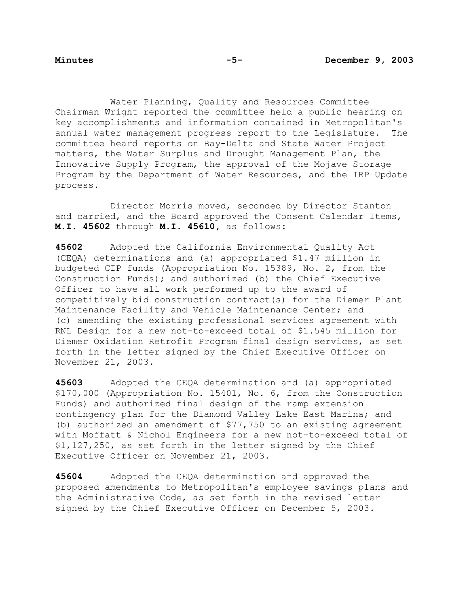Water Planning, Quality and Resources Committee Chairman Wright reported the committee held a public hearing on key accomplishments and information contained in Metropolitan's annual water management progress report to the Legislature. The committee heard reports on Bay-Delta and State Water Project matters, the Water Surplus and Drought Management Plan, the Innovative Supply Program, the approval of the Mojave Storage Program by the Department of Water Resources, and the IRP Update process.

 Director Morris moved, seconded by Director Stanton and carried, and the Board approved the Consent Calendar Items, **M.I. 45602** through **M.I. 45610,** as follows:

**45602** Adopted the California Environmental Quality Act (CEQA) determinations and (a) appropriated \$1.47 million in budgeted CIP funds (Appropriation No. 15389, No. 2, from the Construction Funds); and authorized (b) the Chief Executive Officer to have all work performed up to the award of competitively bid construction contract(s) for the Diemer Plant Maintenance Facility and Vehicle Maintenance Center; and (c) amending the existing professional services agreement with RNL Design for a new not-to-exceed total of \$1.545 million for Diemer Oxidation Retrofit Program final design services, as set forth in the letter signed by the Chief Executive Officer on November 21, 2003.

**45603** Adopted the CEQA determination and (a) appropriated \$170,000 (Appropriation No. 15401, No. 6, from the Construction Funds) and authorized final design of the ramp extension contingency plan for the Diamond Valley Lake East Marina; and (b) authorized an amendment of \$77,750 to an existing agreement with Moffatt & Nichol Engineers for a new not-to-exceed total of \$1,127,250, as set forth in the letter signed by the Chief Executive Officer on November 21, 2003.

**45604** Adopted the CEQA determination and approved the proposed amendments to Metropolitan's employee savings plans and the Administrative Code, as set forth in the revised letter signed by the Chief Executive Officer on December 5, 2003.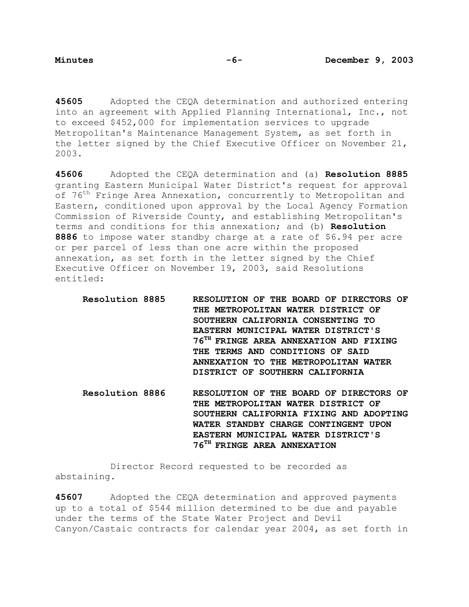**45605** Adopted the CEQA determination and authorized entering into an agreement with Applied Planning International, Inc., not to exceed \$452,000 for implementation services to upgrade Metropolitan's Maintenance Management System, as set forth in the letter signed by the Chief Executive Officer on November 21, 2003.

**45606** Adopted the CEQA determination and (a) **Resolution 8885**  granting Eastern Municipal Water District's request for approval of 76<sup>th</sup> Fringe Area Annexation, concurrently to Metropolitan and Eastern, conditioned upon approval by the Local Agency Formation Commission of Riverside County, and establishing Metropolitan's terms and conditions for this annexation; and (b) **Resolution 8886** to impose water standby charge at a rate of \$6.94 per acre or per parcel of less than one acre within the proposed annexation, as set forth in the letter signed by the Chief Executive Officer on November 19, 2003, said Resolutions entitled:

- **Resolution 8885 RESOLUTION OF THE BOARD OF DIRECTORS OF THE METROPOLITAN WATER DISTRICT OF SOUTHERN CALIFORNIA CONSENTING TO EASTERN MUNICIPAL WATER DISTRICT'S 76TH FRINGE AREA ANNEXATION AND FIXING THE TERMS AND CONDITIONS OF SAID ANNEXATION TO THE METROPOLITAN WATER DISTRICT OF SOUTHERN CALIFORNIA**
- **Resolution 8886 RESOLUTION OF THE BOARD OF DIRECTORS OF THE METROPOLITAN WATER DISTRICT OF SOUTHERN CALIFORNIA FIXING AND ADOPTING WATER STANDBY CHARGE CONTINGENT UPON EASTERN MUNICIPAL WATER DISTRICT'S 76TH FRINGE AREA ANNEXATION**

 Director Record requested to be recorded as abstaining.

**45607** Adopted the CEQA determination and approved payments up to a total of \$544 million determined to be due and payable under the terms of the State Water Project and Devil Canyon/Castaic contracts for calendar year 2004, as set forth in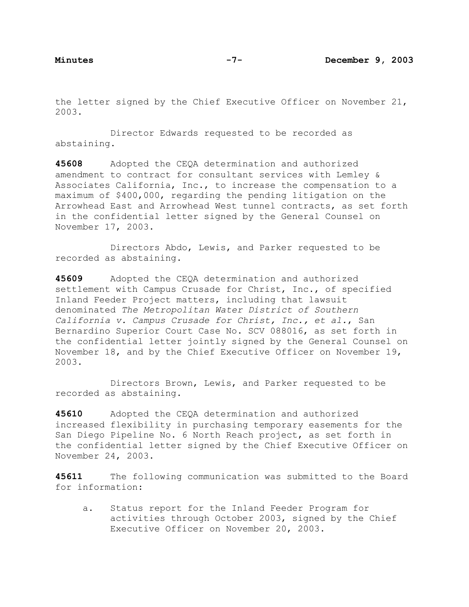the letter signed by the Chief Executive Officer on November 21, 2003.

 Director Edwards requested to be recorded as abstaining.

**45608** Adopted the CEQA determination and authorized amendment to contract for consultant services with Lemley & Associates California, Inc., to increase the compensation to a maximum of \$400,000, regarding the pending litigation on the Arrowhead East and Arrowhead West tunnel contracts, as set forth in the confidential letter signed by the General Counsel on November 17, 2003.

 Directors Abdo, Lewis, and Parker requested to be recorded as abstaining.

**45609** Adopted the CEQA determination and authorized settlement with Campus Crusade for Christ, Inc., of specified Inland Feeder Project matters, including that lawsuit denominated *The Metropolitan Water District of Southern California v. Campus Crusade for Christ, Inc., et al.*, San Bernardino Superior Court Case No. SCV 088016, as set forth in the confidential letter jointly signed by the General Counsel on November 18, and by the Chief Executive Officer on November 19, 2003.

 Directors Brown, Lewis, and Parker requested to be recorded as abstaining.

**45610** Adopted the CEQA determination and authorized increased flexibility in purchasing temporary easements for the San Diego Pipeline No. 6 North Reach project, as set forth in the confidential letter signed by the Chief Executive Officer on November 24, 2003.

**45611** The following communication was submitted to the Board for information:

a. Status report for the Inland Feeder Program for activities through October 2003, signed by the Chief Executive Officer on November 20, 2003.